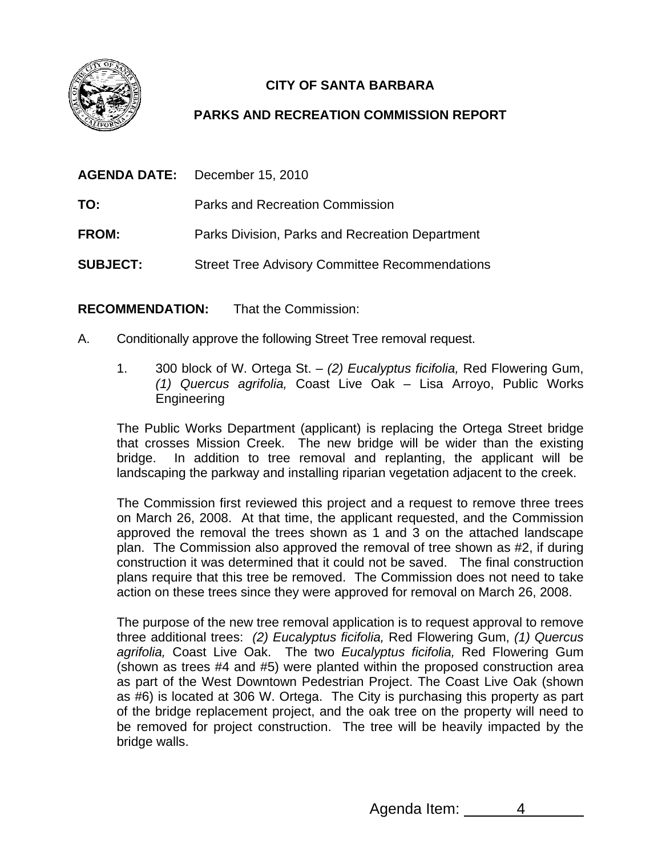

## **CITY OF SANTA BARBARA**

## **PARKS AND RECREATION COMMISSION REPORT**

| <b>AGENDA DATE:</b> | December 15, 2010                                     |
|---------------------|-------------------------------------------------------|
| TO:                 | Parks and Recreation Commission                       |
| <b>FROM:</b>        | Parks Division, Parks and Recreation Department       |
| <b>SUBJECT:</b>     | <b>Street Tree Advisory Committee Recommendations</b> |

**RECOMMENDATION:** That the Commission:

- A. Conditionally approve the following Street Tree removal request.
	- 1. 300 block of W. Ortega St. *(2) Eucalyptus ficifolia,* Red Flowering Gum, *(1) Quercus agrifolia,* Coast Live Oak – Lisa Arroyo, Public Works Engineering

The Public Works Department (applicant) is replacing the Ortega Street bridge that crosses Mission Creek. The new bridge will be wider than the existing bridge. In addition to tree removal and replanting, the applicant will be landscaping the parkway and installing riparian vegetation adjacent to the creek.

The Commission first reviewed this project and a request to remove three trees on March 26, 2008. At that time, the applicant requested, and the Commission approved the removal the trees shown as 1 and 3 on the attached landscape plan. The Commission also approved the removal of tree shown as #2, if during construction it was determined that it could not be saved. The final construction plans require that this tree be removed. The Commission does not need to take action on these trees since they were approved for removal on March 26, 2008.

The purpose of the new tree removal application is to request approval to remove three additional trees: *(2) Eucalyptus ficifolia,* Red Flowering Gum, *(1) Quercus agrifolia,* Coast Live Oak. The two *Eucalyptus ficifolia,* Red Flowering Gum (shown as trees #4 and #5) were planted within the proposed construction area as part of the West Downtown Pedestrian Project. The Coast Live Oak (shown as #6) is located at 306 W. Ortega. The City is purchasing this property as part of the bridge replacement project, and the oak tree on the property will need to be removed for project construction. The tree will be heavily impacted by the bridge walls.

Agenda Item: 4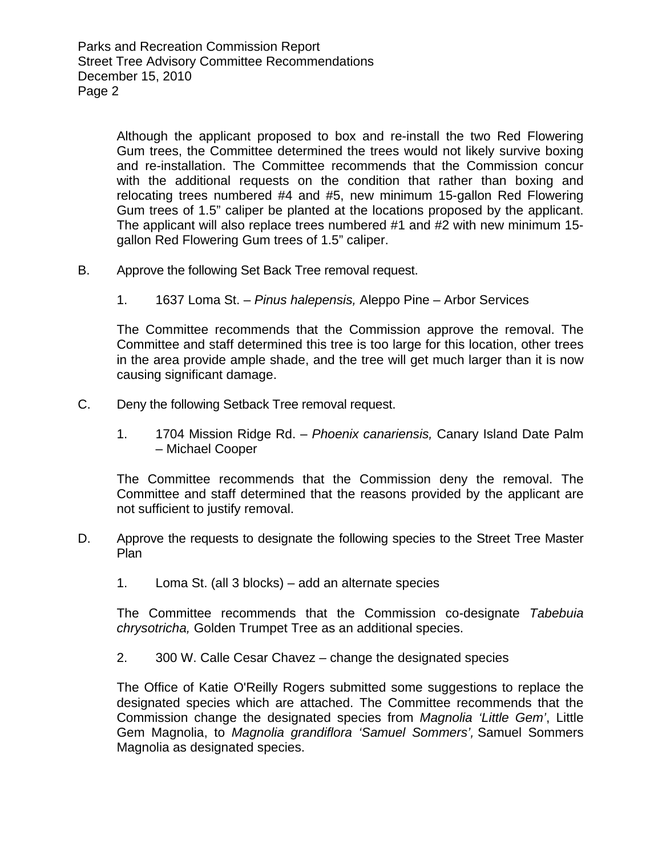Although the applicant proposed to box and re-install the two Red Flowering Gum trees, the Committee determined the trees would not likely survive boxing and re-installation. The Committee recommends that the Commission concur with the additional requests on the condition that rather than boxing and relocating trees numbered #4 and #5, new minimum 15-gallon Red Flowering Gum trees of 1.5" caliper be planted at the locations proposed by the applicant. The applicant will also replace trees numbered #1 and #2 with new minimum 15 gallon Red Flowering Gum trees of 1.5" caliper.

- B. Approve the following Set Back Tree removal request.
	- 1. 1637 Loma St. *Pinus halepensis,* Aleppo Pine Arbor Services

The Committee recommends that the Commission approve the removal. The Committee and staff determined this tree is too large for this location, other trees in the area provide ample shade, and the tree will get much larger than it is now causing significant damage.

- C. Deny the following Setback Tree removal request.
	- 1. 1704 Mission Ridge Rd. *Phoenix canariensis,* Canary Island Date Palm – Michael Cooper

The Committee recommends that the Commission deny the removal. The Committee and staff determined that the reasons provided by the applicant are not sufficient to justify removal.

- D. Approve the requests to designate the following species to the Street Tree Master **Plan** 
	- 1. Loma St. (all 3 blocks) add an alternate species

The Committee recommends that the Commission co-designate *Tabebuia chrysotricha,* Golden Trumpet Tree as an additional species.

2. 300 W. Calle Cesar Chavez – change the designated species

The Office of Katie O'Reilly Rogers submitted some suggestions to replace the designated species which are attached. The Committee recommends that the Commission change the designated species from *Magnolia 'Little Gem'*, Little Gem Magnolia, to *Magnolia grandiflora 'Samuel Sommers',* Samuel Sommers Magnolia as designated species.